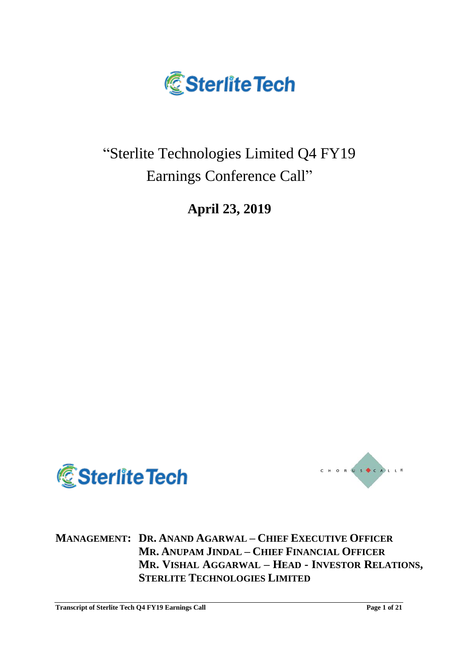

# "Sterlite Technologies Limited Q4 FY19 Earnings Conference Call"

**April 23, 2019**





**MANAGEMENT: DR. ANAND AGARWAL – CHIEF EXECUTIVE OFFICER MR. ANUPAM JINDAL – CHIEF FINANCIAL OFFICER MR. VISHAL AGGARWAL – HEAD - INVESTOR RELATIONS, STERLITE TECHNOLOGIES LIMITED**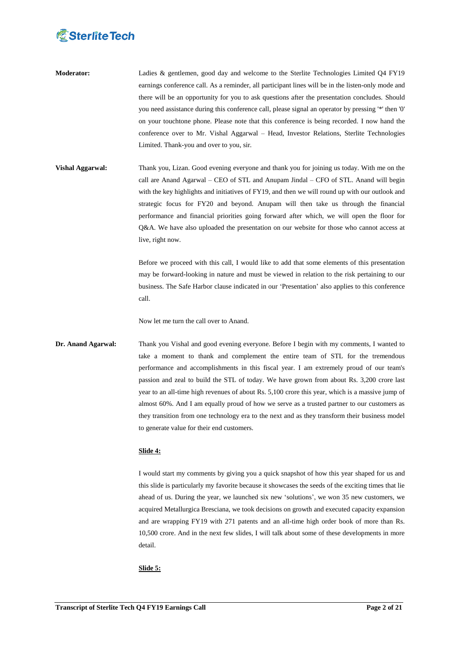- **Moderator:** Ladies & gentlemen, good day and welcome to the Sterlite Technologies Limited Q4 FY19 earnings conference call. As a reminder, all participant lines will be in the listen-only mode and there will be an opportunity for you to ask questions after the presentation concludes. Should you need assistance during this conference call, please signal an operator by pressing '\*' then '0' on your touchtone phone. Please note that this conference is being recorded. I now hand the conference over to Mr. Vishal Aggarwal – Head, Investor Relations, Sterlite Technologies Limited. Thank-you and over to you, sir.
- **Vishal Aggarwal:** Thank you, Lizan. Good evening everyone and thank you for joining us today. With me on the call are Anand Agarwal – CEO of STL and Anupam Jindal – CFO of STL. Anand will begin with the key highlights and initiatives of FY19, and then we will round up with our outlook and strategic focus for FY20 and beyond. Anupam will then take us through the financial performance and financial priorities going forward after which, we will open the floor for Q&A. We have also uploaded the presentation on our website for those who cannot access at live, right now.

Before we proceed with this call, I would like to add that some elements of this presentation may be forward-looking in nature and must be viewed in relation to the risk pertaining to our business. The Safe Harbor clause indicated in our "Presentation" also applies to this conference call.

Now let me turn the call over to Anand.

**Dr. Anand Agarwal:** Thank you Vishal and good evening everyone. Before I begin with my comments, I wanted to take a moment to thank and complement the entire team of STL for the tremendous performance and accomplishments in this fiscal year. I am extremely proud of our team's passion and zeal to build the STL of today. We have grown from about Rs. 3,200 crore last year to an all-time high revenues of about Rs. 5,100 crore this year, which is a massive jump of almost 60%. And I am equally proud of how we serve as a trusted partner to our customers as they transition from one technology era to the next and as they transform their business model to generate value for their end customers.

# **Slide 4:**

I would start my comments by giving you a quick snapshot of how this year shaped for us and this slide is particularly my favorite because it showcases the seeds of the exciting times that lie ahead of us. During the year, we launched six new "solutions", we won 35 new customers, we acquired Metallurgica Bresciana, we took decisions on growth and executed capacity expansion and are wrapping FY19 with 271 patents and an all-time high order book of more than Rs. 10,500 crore. And in the next few slides, I will talk about some of these developments in more detail.

# **Slide 5:**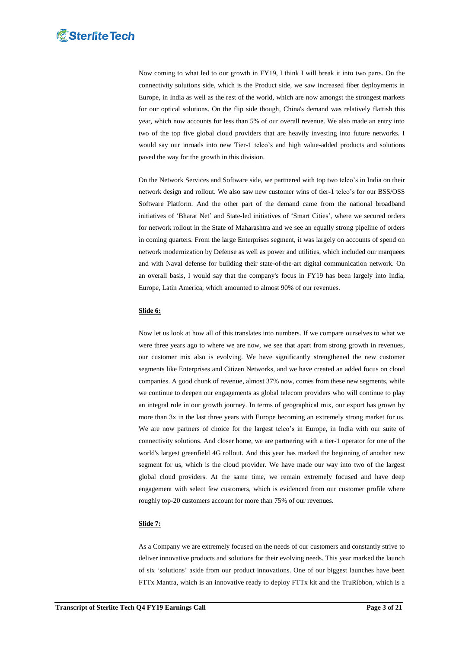Now coming to what led to our growth in FY19, I think I will break it into two parts. On the connectivity solutions side, which is the Product side, we saw increased fiber deployments in Europe, in India as well as the rest of the world, which are now amongst the strongest markets for our optical solutions. On the flip side though, China's demand was relatively flattish this year, which now accounts for less than 5% of our overall revenue. We also made an entry into two of the top five global cloud providers that are heavily investing into future networks. I would say our inroads into new Tier-1 telco"s and high value-added products and solutions paved the way for the growth in this division.

On the Network Services and Software side, we partnered with top two telco"s in India on their network design and rollout. We also saw new customer wins of tier-1 telco"s for our BSS/OSS Software Platform. And the other part of the demand came from the national broadband initiatives of "Bharat Net" and State-led initiatives of "Smart Cities", where we secured orders for network rollout in the State of Maharashtra and we see an equally strong pipeline of orders in coming quarters. From the large Enterprises segment, it was largely on accounts of spend on network modernization by Defense as well as power and utilities, which included our marquees and with Naval defense for building their state-of-the-art digital communication network. On an overall basis, I would say that the company's focus in FY19 has been largely into India, Europe, Latin America, which amounted to almost 90% of our revenues.

## **Slide 6:**

Now let us look at how all of this translates into numbers. If we compare ourselves to what we were three years ago to where we are now, we see that apart from strong growth in revenues, our customer mix also is evolving. We have significantly strengthened the new customer segments like Enterprises and Citizen Networks, and we have created an added focus on cloud companies. A good chunk of revenue, almost 37% now, comes from these new segments, while we continue to deepen our engagements as global telecom providers who will continue to play an integral role in our growth journey. In terms of geographical mix, our export has grown by more than 3x in the last three years with Europe becoming an extremely strong market for us. We are now partners of choice for the largest telco's in Europe, in India with our suite of connectivity solutions. And closer home, we are partnering with a tier-1 operator for one of the world's largest greenfield 4G rollout. And this year has marked the beginning of another new segment for us, which is the cloud provider. We have made our way into two of the largest global cloud providers. At the same time, we remain extremely focused and have deep engagement with select few customers, which is evidenced from our customer profile where roughly top-20 customers account for more than 75% of our revenues.

### **Slide 7:**

As a Company we are extremely focused on the needs of our customers and constantly strive to deliver innovative products and solutions for their evolving needs. This year marked the launch of six "solutions" aside from our product innovations. One of our biggest launches have been FTTx Mantra, which is an innovative ready to deploy FTTx kit and the TruRibbon, which is a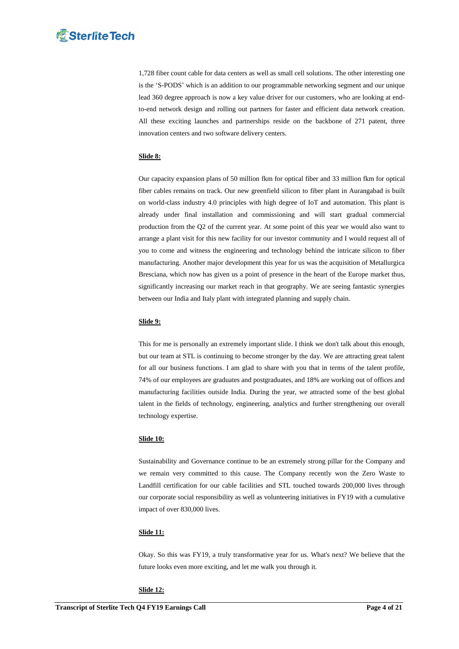1,728 fiber count cable for data centers as well as small cell solutions. The other interesting one is the "S-PODS" which is an addition to our programmable networking segment and our unique lead 360 degree approach is now a key value driver for our customers, who are looking at endto-end network design and rolling out partners for faster and efficient data network creation. All these exciting launches and partnerships reside on the backbone of 271 patent, three innovation centers and two software delivery centers.

# **Slide 8:**

Our capacity expansion plans of 50 million fkm for optical fiber and 33 million fkm for optical fiber cables remains on track. Our new greenfield silicon to fiber plant in Aurangabad is built on world-class industry 4.0 principles with high degree of IoT and automation. This plant is already under final installation and commissioning and will start gradual commercial production from the Q2 of the current year. At some point of this year we would also want to arrange a plant visit for this new facility for our investor community and I would request all of you to come and witness the engineering and technology behind the intricate silicon to fiber manufacturing. Another major development this year for us was the acquisition of Metallurgica Bresciana, which now has given us a point of presence in the heart of the Europe market thus, significantly increasing our market reach in that geography. We are seeing fantastic synergies between our India and Italy plant with integrated planning and supply chain.

### **Slide 9:**

This for me is personally an extremely important slide. I think we don't talk about this enough, but our team at STL is continuing to become stronger by the day. We are attracting great talent for all our business functions. I am glad to share with you that in terms of the talent profile, 74% of our employees are graduates and postgraduates, and 18% are working out of offices and manufacturing facilities outside India. During the year, we attracted some of the best global talent in the fields of technology, engineering, analytics and further strengthening our overall technology expertise.

### **Slide 10:**

Sustainability and Governance continue to be an extremely strong pillar for the Company and we remain very committed to this cause. The Company recently won the Zero Waste to Landfill certification for our cable facilities and STL touched towards 200,000 lives through our corporate social responsibility as well as volunteering initiatives in FY19 with a cumulative impact of over 830,000 lives.

### **Slide 11:**

Okay. So this was FY19, a truly transformative year for us. What's next? We believe that the future looks even more exciting, and let me walk you through it.

### **Slide 12:**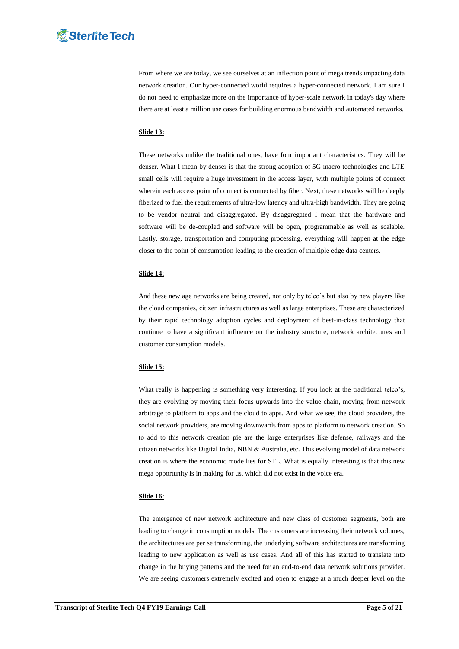From where we are today, we see ourselves at an inflection point of mega trends impacting data network creation. Our hyper-connected world requires a hyper-connected network. I am sure I do not need to emphasize more on the importance of hyper-scale network in today's day where there are at least a million use cases for building enormous bandwidth and automated networks.

# **Slide 13:**

These networks unlike the traditional ones, have four important characteristics. They will be denser. What I mean by denser is that the strong adoption of 5G macro technologies and LTE small cells will require a huge investment in the access layer, with multiple points of connect wherein each access point of connect is connected by fiber. Next, these networks will be deeply fiberized to fuel the requirements of ultra-low latency and ultra-high bandwidth. They are going to be vendor neutral and disaggregated. By disaggregated I mean that the hardware and software will be de-coupled and software will be open, programmable as well as scalable. Lastly, storage, transportation and computing processing, everything will happen at the edge closer to the point of consumption leading to the creation of multiple edge data centers.

# **Slide 14:**

And these new age networks are being created, not only by telco"s but also by new players like the cloud companies, citizen infrastructures as well as large enterprises. These are characterized by their rapid technology adoption cycles and deployment of best-in-class technology that continue to have a significant influence on the industry structure, network architectures and customer consumption models.

# **Slide 15:**

What really is happening is something very interesting. If you look at the traditional telco's, they are evolving by moving their focus upwards into the value chain, moving from network arbitrage to platform to apps and the cloud to apps. And what we see, the cloud providers, the social network providers, are moving downwards from apps to platform to network creation. So to add to this network creation pie are the large enterprises like defense, railways and the citizen networks like Digital India, NBN & Australia, etc. This evolving model of data network creation is where the economic mode lies for STL. What is equally interesting is that this new mega opportunity is in making for us, which did not exist in the voice era.

### **Slide 16:**

The emergence of new network architecture and new class of customer segments, both are leading to change in consumption models. The customers are increasing their network volumes, the architectures are per se transforming, the underlying software architectures are transforming leading to new application as well as use cases. And all of this has started to translate into change in the buying patterns and the need for an end-to-end data network solutions provider. We are seeing customers extremely excited and open to engage at a much deeper level on the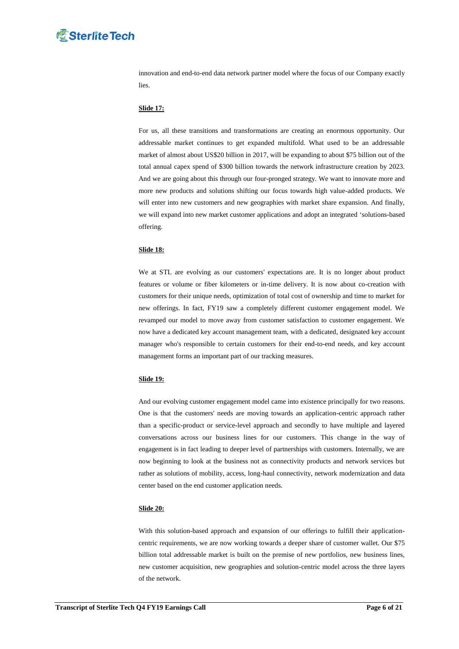innovation and end-to-end data network partner model where the focus of our Company exactly lies.

## **Slide 17:**

For us, all these transitions and transformations are creating an enormous opportunity. Our addressable market continues to get expanded multifold. What used to be an addressable market of almost about US\$20 billion in 2017, will be expanding to about \$75 billion out of the total annual capex spend of \$300 billion towards the network infrastructure creation by 2023. And we are going about this through our four-pronged strategy. We want to innovate more and more new products and solutions shifting our focus towards high value-added products. We will enter into new customers and new geographies with market share expansion. And finally, we will expand into new market customer applications and adopt an integrated "solutions-based offering.

# **Slide 18:**

We at STL are evolving as our customers' expectations are. It is no longer about product features or volume or fiber kilometers or in-time delivery. It is now about co-creation with customers for their unique needs, optimization of total cost of ownership and time to market for new offerings. In fact, FY19 saw a completely different customer engagement model. We revamped our model to move away from customer satisfaction to customer engagement. We now have a dedicated key account management team, with a dedicated, designated key account manager who's responsible to certain customers for their end-to-end needs, and key account management forms an important part of our tracking measures.

### **Slide 19:**

And our evolving customer engagement model came into existence principally for two reasons. One is that the customers' needs are moving towards an application-centric approach rather than a specific-product or service-level approach and secondly to have multiple and layered conversations across our business lines for our customers. This change in the way of engagement is in fact leading to deeper level of partnerships with customers. Internally, we are now beginning to look at the business not as connectivity products and network services but rather as solutions of mobility, access, long-haul connectivity, network modernization and data center based on the end customer application needs.

#### **Slide 20:**

With this solution-based approach and expansion of our offerings to fulfill their applicationcentric requirements, we are now working towards a deeper share of customer wallet. Our \$75 billion total addressable market is built on the premise of new portfolios, new business lines, new customer acquisition, new geographies and solution-centric model across the three layers of the network.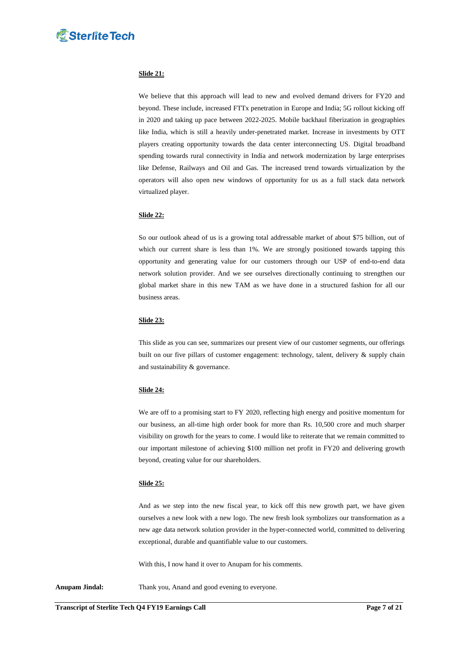

# **Slide 21:**

We believe that this approach will lead to new and evolved demand drivers for FY20 and beyond. These include, increased FTTx penetration in Europe and India; 5G rollout kicking off in 2020 and taking up pace between 2022-2025. Mobile backhaul fiberization in geographies like India, which is still a heavily under-penetrated market. Increase in investments by OTT players creating opportunity towards the data center interconnecting US. Digital broadband spending towards rural connectivity in India and network modernization by large enterprises like Defense, Railways and Oil and Gas. The increased trend towards virtualization by the operators will also open new windows of opportunity for us as a full stack data network virtualized player.

# **Slide 22:**

So our outlook ahead of us is a growing total addressable market of about \$75 billion, out of which our current share is less than 1%. We are strongly positioned towards tapping this opportunity and generating value for our customers through our USP of end-to-end data network solution provider. And we see ourselves directionally continuing to strengthen our global market share in this new TAM as we have done in a structured fashion for all our business areas.

### **Slide 23:**

This slide as you can see, summarizes our present view of our customer segments, our offerings built on our five pillars of customer engagement: technology, talent, delivery & supply chain and sustainability & governance.

### **Slide 24:**

We are off to a promising start to FY 2020, reflecting high energy and positive momentum for our business, an all-time high order book for more than Rs. 10,500 crore and much sharper visibility on growth for the years to come. I would like to reiterate that we remain committed to our important milestone of achieving \$100 million net profit in FY20 and delivering growth beyond, creating value for our shareholders.

### **Slide 25:**

And as we step into the new fiscal year, to kick off this new growth part, we have given ourselves a new look with a new logo. The new fresh look symbolizes our transformation as a new age data network solution provider in the hyper-connected world, committed to delivering exceptional, durable and quantifiable value to our customers.

With this, I now hand it over to Anupam for his comments.

Anupam Jindal: Thank you, Anand and good evening to everyone.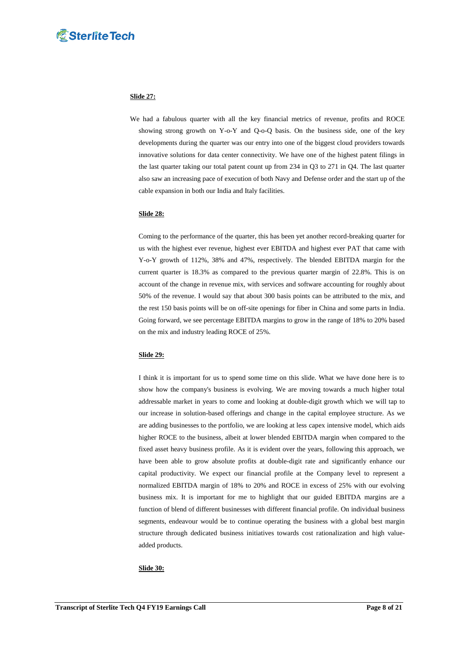# **Slide 27:**

 We had a fabulous quarter with all the key financial metrics of revenue, profits and ROCE showing strong growth on Y-o-Y and Q-o-Q basis. On the business side, one of the key developments during the quarter was our entry into one of the biggest cloud providers towards innovative solutions for data center connectivity. We have one of the highest patent filings in the last quarter taking our total patent count up from 234 in Q3 to 271 in Q4. The last quarter also saw an increasing pace of execution of both Navy and Defense order and the start up of the cable expansion in both our India and Italy facilities.

# **Slide 28:**

Coming to the performance of the quarter, this has been yet another record-breaking quarter for us with the highest ever revenue, highest ever EBITDA and highest ever PAT that came with Y-o-Y growth of 112%, 38% and 47%, respectively. The blended EBITDA margin for the current quarter is 18.3% as compared to the previous quarter margin of 22.8%. This is on account of the change in revenue mix, with services and software accounting for roughly about 50% of the revenue. I would say that about 300 basis points can be attributed to the mix, and the rest 150 basis points will be on off-site openings for fiber in China and some parts in India. Going forward, we see percentage EBITDA margins to grow in the range of 18% to 20% based on the mix and industry leading ROCE of 25%.

# **Slide 29:**

I think it is important for us to spend some time on this slide. What we have done here is to show how the company's business is evolving. We are moving towards a much higher total addressable market in years to come and looking at double-digit growth which we will tap to our increase in solution-based offerings and change in the capital employee structure. As we are adding businesses to the portfolio, we are looking at less capex intensive model, which aids higher ROCE to the business, albeit at lower blended EBITDA margin when compared to the fixed asset heavy business profile. As it is evident over the years, following this approach, we have been able to grow absolute profits at double-digit rate and significantly enhance our capital productivity. We expect our financial profile at the Company level to represent a normalized EBITDA margin of 18% to 20% and ROCE in excess of 25% with our evolving business mix. It is important for me to highlight that our guided EBITDA margins are a function of blend of different businesses with different financial profile. On individual business segments, endeavour would be to continue operating the business with a global best margin structure through dedicated business initiatives towards cost rationalization and high valueadded products.

### **Slide 30:**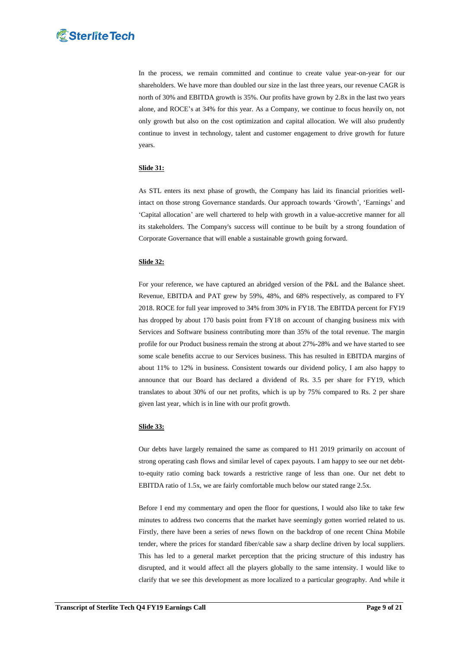In the process, we remain committed and continue to create value year-on-year for our shareholders. We have more than doubled our size in the last three years, our revenue CAGR is north of 30% and EBITDA growth is 35%. Our profits have grown by 2.8x in the last two years alone, and ROCE"s at 34% for this year. As a Company, we continue to focus heavily on, not only growth but also on the cost optimization and capital allocation. We will also prudently continue to invest in technology, talent and customer engagement to drive growth for future years.

# **Slide 31:**

As STL enters its next phase of growth, the Company has laid its financial priorities wellintact on those strong Governance standards. Our approach towards "Growth", "Earnings" and 'Capital allocation' are well chartered to help with growth in a value-accretive manner for all its stakeholders. The Company's success will continue to be built by a strong foundation of Corporate Governance that will enable a sustainable growth going forward.

# **Slide 32:**

For your reference, we have captured an abridged version of the P&L and the Balance sheet. Revenue, EBITDA and PAT grew by 59%, 48%, and 68% respectively, as compared to FY 2018. ROCE for full year improved to 34% from 30% in FY18. The EBITDA percent for FY19 has dropped by about 170 basis point from FY18 on account of changing business mix with Services and Software business contributing more than 35% of the total revenue. The margin profile for our Product business remain the strong at about 27%-28% and we have started to see some scale benefits accrue to our Services business. This has resulted in EBITDA margins of about 11% to 12% in business. Consistent towards our dividend policy, I am also happy to announce that our Board has declared a dividend of Rs. 3.5 per share for FY19, which translates to about 30% of our net profits, which is up by 75% compared to Rs. 2 per share given last year, which is in line with our profit growth.

## **Slide 33:**

Our debts have largely remained the same as compared to H1 2019 primarily on account of strong operating cash flows and similar level of capex payouts. I am happy to see our net debtto-equity ratio coming back towards a restrictive range of less than one. Our net debt to EBITDA ratio of 1.5x, we are fairly comfortable much below our stated range 2.5x.

Before I end my commentary and open the floor for questions, I would also like to take few minutes to address two concerns that the market have seemingly gotten worried related to us. Firstly, there have been a series of news flown on the backdrop of one recent China Mobile tender, where the prices for standard fiber/cable saw a sharp decline driven by local suppliers. This has led to a general market perception that the pricing structure of this industry has disrupted, and it would affect all the players globally to the same intensity. I would like to clarify that we see this development as more localized to a particular geography. And while it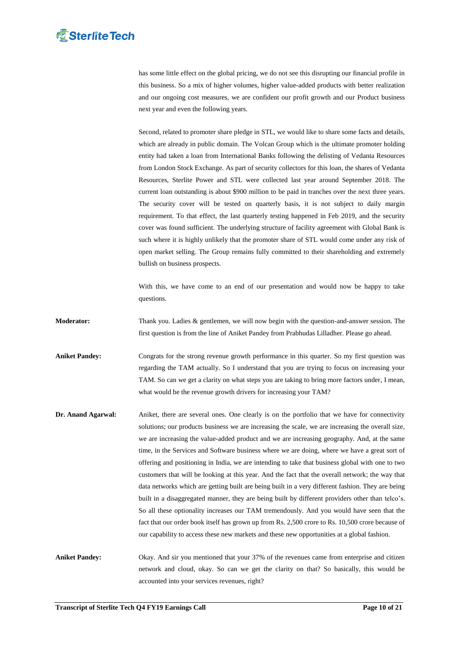has some little effect on the global pricing, we do not see this disrupting our financial profile in this business. So a mix of higher volumes, higher value-added products with better realization and our ongoing cost measures, we are confident our profit growth and our Product business next year and even the following years.

Second, related to promoter share pledge in STL, we would like to share some facts and details, which are already in public domain. The Volcan Group which is the ultimate promoter holding entity had taken a loan from International Banks following the delisting of Vedanta Resources from London Stock Exchange. As part of security collectors for this loan, the shares of Vedanta Resources, Sterlite Power and STL were collected last year around September 2018. The current loan outstanding is about \$900 million to be paid in tranches over the next three years. The security cover will be tested on quarterly basis, it is not subject to daily margin requirement. To that effect, the last quarterly testing happened in Feb 2019, and the security cover was found sufficient. The underlying structure of facility agreement with Global Bank is such where it is highly unlikely that the promoter share of STL would come under any risk of open market selling. The Group remains fully committed to their shareholding and extremely bullish on business prospects.

With this, we have come to an end of our presentation and would now be happy to take questions.

**Moderator:** Thank you. Ladies & gentlemen, we will now begin with the question-and-answer session. The first question is from the line of Aniket Pandey from Prabhudas Lilladher. Please go ahead.

**Aniket Pandey:** Congrats for the strong revenue growth performance in this quarter. So my first question was regarding the TAM actually. So I understand that you are trying to focus on increasing your TAM. So can we get a clarity on what steps you are taking to bring more factors under, I mean, what would be the revenue growth drivers for increasing your TAM?

**Dr. Anand Agarwal:** Aniket, there are several ones. One clearly is on the portfolio that we have for connectivity solutions; our products business we are increasing the scale, we are increasing the overall size, we are increasing the value-added product and we are increasing geography. And, at the same time, in the Services and Software business where we are doing, where we have a great sort of offering and positioning in India, we are intending to take that business global with one to two customers that will be looking at this year. And the fact that the overall network; the way that data networks which are getting built are being built in a very different fashion. They are being built in a disaggregated manner, they are being built by different providers other than telco"s. So all these optionality increases our TAM tremendously. And you would have seen that the fact that our order book itself has grown up from Rs. 2,500 crore to Rs. 10,500 crore because of our capability to access these new markets and these new opportunities at a global fashion.

**Aniket Pandey:** Okay. And sir you mentioned that your 37% of the revenues came from enterprise and citizen network and cloud, okay. So can we get the clarity on that? So basically, this would be accounted into your services revenues, right?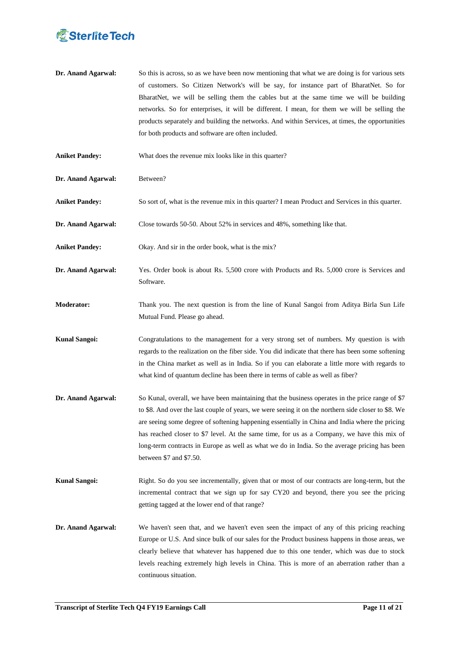

- **Dr. Anand Agarwal:** So this is across, so as we have been now mentioning that what we are doing is for various sets of customers. So Citizen Network's will be say, for instance part of BharatNet. So for BharatNet, we will be selling them the cables but at the same time we will be building networks. So for enterprises, it will be different. I mean, for them we will be selling the products separately and building the networks. And within Services, at times, the opportunities for both products and software are often included.
- Aniket Pandey: What does the revenue mix looks like in this quarter?
- **Dr. Anand Agarwal:** Between?
- **Aniket Pandey:** So sort of, what is the revenue mix in this quarter? I mean Product and Services in this quarter.
- **Dr. Anand Agarwal:** Close towards 50-50. About 52% in services and 48%, something like that.
- **Aniket Pandey:** Okay. And sir in the order book, what is the mix?
- **Dr. Anand Agarwal:** Yes. Order book is about Rs. 5,500 crore with Products and Rs. 5,000 crore is Services and Software.
- **Moderator:** Thank you. The next question is from the line of Kunal Sangoi from Aditya Birla Sun Life Mutual Fund. Please go ahead.
- **Kunal Sangoi:** Congratulations to the management for a very strong set of numbers. My question is with regards to the realization on the fiber side. You did indicate that there has been some softening in the China market as well as in India. So if you can elaborate a little more with regards to what kind of quantum decline has been there in terms of cable as well as fiber?
- **Dr. Anand Agarwal:** So Kunal, overall, we have been maintaining that the business operates in the price range of \$7 to \$8. And over the last couple of years, we were seeing it on the northern side closer to \$8. We are seeing some degree of softening happening essentially in China and India where the pricing has reached closer to \$7 level. At the same time, for us as a Company, we have this mix of long-term contracts in Europe as well as what we do in India. So the average pricing has been between \$7 and \$7.50.
- **Kunal Sangoi:** Right. So do you see incrementally, given that or most of our contracts are long-term, but the incremental contract that we sign up for say CY20 and beyond, there you see the pricing getting tagged at the lower end of that range?
- **Dr. Anand Agarwal:** We haven't seen that, and we haven't even seen the impact of any of this pricing reaching Europe or U.S. And since bulk of our sales for the Product business happens in those areas, we clearly believe that whatever has happened due to this one tender, which was due to stock levels reaching extremely high levels in China. This is more of an aberration rather than a continuous situation.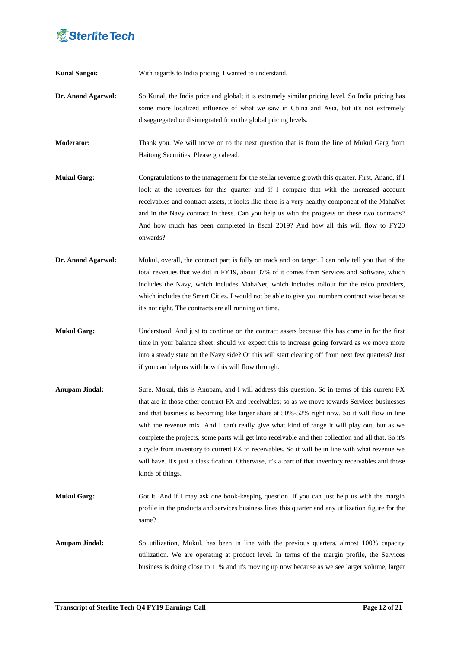**Kunal Sangoi:** With regards to India pricing, I wanted to understand.

**Dr. Anand Agarwal:** So Kunal, the India price and global; it is extremely similar pricing level. So India pricing has some more localized influence of what we saw in China and Asia, but it's not extremely disaggregated or disintegrated from the global pricing levels.

**Moderator:** Thank you. We will move on to the next question that is from the line of Mukul Garg from Haitong Securities. Please go ahead.

- **Mukul Garg:** Congratulations to the management for the stellar revenue growth this quarter. First, Anand, if I look at the revenues for this quarter and if I compare that with the increased account receivables and contract assets, it looks like there is a very healthy component of the MahaNet and in the Navy contract in these. Can you help us with the progress on these two contracts? And how much has been completed in fiscal 2019? And how all this will flow to FY20 onwards?
- **Dr. Anand Agarwal:** Mukul, overall, the contract part is fully on track and on target. I can only tell you that of the total revenues that we did in FY19, about 37% of it comes from Services and Software, which includes the Navy, which includes MahaNet, which includes rollout for the telco providers, which includes the Smart Cities. I would not be able to give you numbers contract wise because it's not right. The contracts are all running on time.
- **Mukul Garg:** Understood. And just to continue on the contract assets because this has come in for the first time in your balance sheet; should we expect this to increase going forward as we move more into a steady state on the Navy side? Or this will start clearing off from next few quarters? Just if you can help us with how this will flow through.
- **Anupam Jindal:** Sure. Mukul, this is Anupam, and I will address this question. So in terms of this current FX that are in those other contract FX and receivables; so as we move towards Services businesses and that business is becoming like larger share at 50%-52% right now. So it will flow in line with the revenue mix. And I can't really give what kind of range it will play out, but as we complete the projects, some parts will get into receivable and then collection and all that. So it's a cycle from inventory to current FX to receivables. So it will be in line with what revenue we will have. It's just a classification. Otherwise, it's a part of that inventory receivables and those kinds of things.
- **Mukul Garg:** Got it. And if I may ask one book-keeping question. If you can just help us with the margin profile in the products and services business lines this quarter and any utilization figure for the same?
- **Anupam Jindal:** So utilization, Mukul, has been in line with the previous quarters, almost 100% capacity utilization. We are operating at product level. In terms of the margin profile, the Services business is doing close to 11% and it's moving up now because as we see larger volume, larger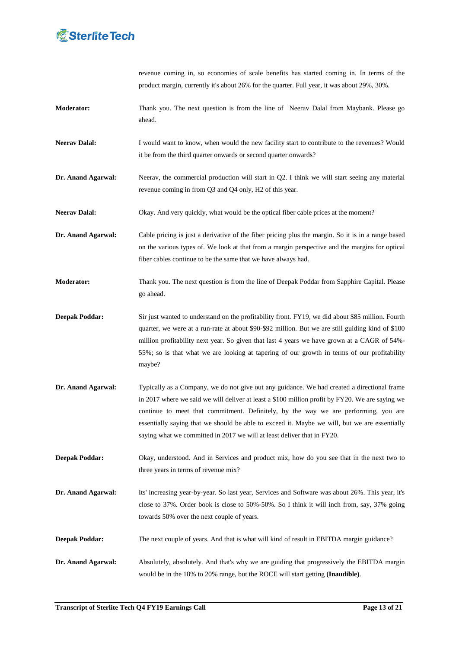

revenue coming in, so economies of scale benefits has started coming in. In terms of the product margin, currently it's about 26% for the quarter. Full year, it was about 29%, 30%.

- **Moderator:** Thank you. The next question is from the line of Neerav Dalal from Maybank. Please go ahead.
- **Neerav Dalal:** I would want to know, when would the new facility start to contribute to the revenues? Would it be from the third quarter onwards or second quarter onwards?
- **Dr. Anand Agarwal:** Neerav, the commercial production will start in Q2. I think we will start seeing any material revenue coming in from Q3 and Q4 only, H2 of this year.
- Neerav Dalal: Okay. And very quickly, what would be the optical fiber cable prices at the moment?
- **Dr. Anand Agarwal:** Cable pricing is just a derivative of the fiber pricing plus the margin. So it is in a range based on the various types of. We look at that from a margin perspective and the margins for optical fiber cables continue to be the same that we have always had.
- **Moderator:** Thank you. The next question is from the line of Deepak Poddar from Sapphire Capital. Please go ahead.
- **Deepak Poddar:** Sir just wanted to understand on the profitability front. FY19, we did about \$85 million. Fourth quarter, we were at a run-rate at about \$90-\$92 million. But we are still guiding kind of \$100 million profitability next year. So given that last 4 years we have grown at a CAGR of 54%- 55%; so is that what we are looking at tapering of our growth in terms of our profitability maybe?
- **Dr. Anand Agarwal:** Typically as a Company, we do not give out any guidance. We had created a directional frame in 2017 where we said we will deliver at least a \$100 million profit by FY20. We are saying we continue to meet that commitment. Definitely, by the way we are performing, you are essentially saying that we should be able to exceed it. Maybe we will, but we are essentially saying what we committed in 2017 we will at least deliver that in FY20.
- **Deepak Poddar:** Okay, understood. And in Services and product mix, how do you see that in the next two to three years in terms of revenue mix?
- **Dr. Anand Agarwal:** Its' increasing year-by-year. So last year, Services and Software was about 26%. This year, it's close to 37%. Order book is close to 50%-50%. So I think it will inch from, say, 37% going towards 50% over the next couple of years.
- **Deepak Poddar:** The next couple of years. And that is what will kind of result in EBITDA margin guidance?
- **Dr. Anand Agarwal:** Absolutely, absolutely. And that's why we are guiding that progressively the EBITDA margin would be in the 18% to 20% range, but the ROCE will start getting **(Inaudible)**.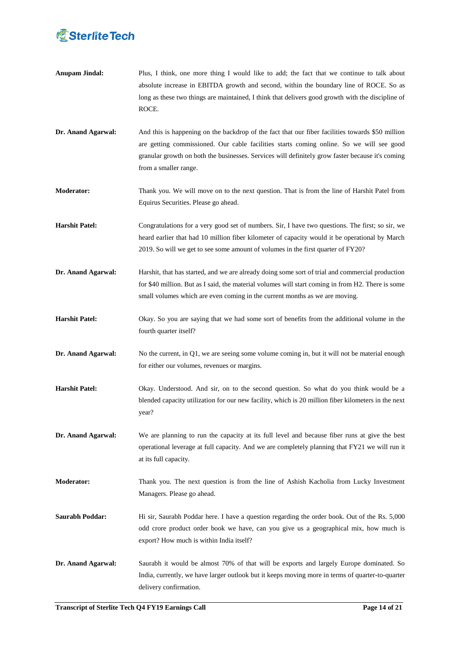

- **Anupam Jindal:** Plus, I think, one more thing I would like to add; the fact that we continue to talk about absolute increase in EBITDA growth and second, within the boundary line of ROCE. So as long as these two things are maintained, I think that delivers good growth with the discipline of ROCE.
- **Dr. Anand Agarwal:** And this is happening on the backdrop of the fact that our fiber facilities towards \$50 million are getting commissioned. Our cable facilities starts coming online. So we will see good granular growth on both the businesses. Services will definitely grow faster because it's coming from a smaller range.
- **Moderator:** Thank you. We will move on to the next question. That is from the line of Harshit Patel from Equirus Securities. Please go ahead.
- **Harshit Patel:** Congratulations for a very good set of numbers. Sir, I have two questions. The first; so sir, we heard earlier that had 10 million fiber kilometer of capacity would it be operational by March 2019. So will we get to see some amount of volumes in the first quarter of FY20?
- **Dr. Anand Agarwal:** Harshit, that has started, and we are already doing some sort of trial and commercial production for \$40 million. But as I said, the material volumes will start coming in from H2. There is some small volumes which are even coming in the current months as we are moving.
- **Harshit Patel:** Okay. So you are saying that we had some sort of benefits from the additional volume in the fourth quarter itself?
- **Dr. Anand Agarwal:** No the current, in Q1, we are seeing some volume coming in, but it will not be material enough for either our volumes, revenues or margins.
- **Harshit Patel:** Okay. Understood. And sir, on to the second question. So what do you think would be a blended capacity utilization for our new facility, which is 20 million fiber kilometers in the next year?
- **Dr. Anand Agarwal:** We are planning to run the capacity at its full level and because fiber runs at give the best operational leverage at full capacity. And we are completely planning that FY21 we will run it at its full capacity.
- **Moderator:** Thank you. The next question is from the line of Ashish Kacholia from Lucky Investment Managers. Please go ahead.
- **Saurabh Poddar:** Hi sir, Saurabh Poddar here. I have a question regarding the order book. Out of the Rs. 5,000 odd crore product order book we have, can you give us a geographical mix, how much is export? How much is within India itself?
- **Dr. Anand Agarwal:** Saurabh it would be almost 70% of that will be exports and largely Europe dominated. So India, currently, we have larger outlook but it keeps moving more in terms of quarter-to-quarter delivery confirmation.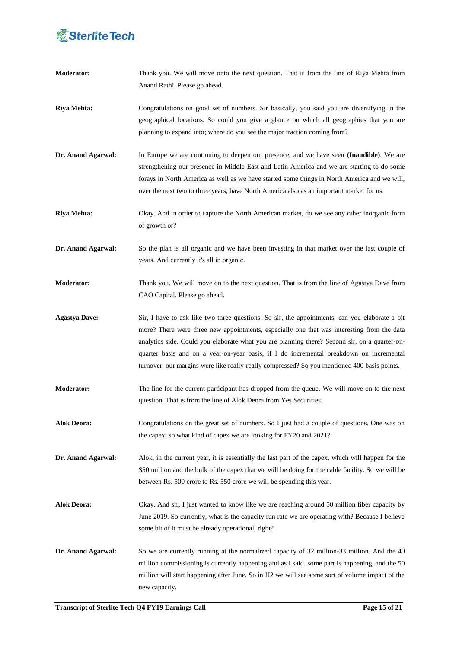# *<u>C</u>* Sterlite Tech

| <b>Moderator:</b>    | Thank you. We will move onto the next question. That is from the line of Riya Mehta from<br>Anand Rathi. Please go ahead.                                                                                                                                                                                                                                                                                                                                                                |
|----------------------|------------------------------------------------------------------------------------------------------------------------------------------------------------------------------------------------------------------------------------------------------------------------------------------------------------------------------------------------------------------------------------------------------------------------------------------------------------------------------------------|
| <b>Riya Mehta:</b>   | Congratulations on good set of numbers. Sir basically, you said you are diversifying in the<br>geographical locations. So could you give a glance on which all geographies that you are<br>planning to expand into; where do you see the major traction coming from?                                                                                                                                                                                                                     |
| Dr. Anand Agarwal:   | In Europe we are continuing to deepen our presence, and we have seen (Inaudible). We are<br>strengthening our presence in Middle East and Latin America and we are starting to do some<br>forays in North America as well as we have started some things in North America and we will,<br>over the next two to three years, have North America also as an important market for us.                                                                                                       |
| <b>Riya Mehta:</b>   | Okay. And in order to capture the North American market, do we see any other inorganic form<br>of growth or?                                                                                                                                                                                                                                                                                                                                                                             |
| Dr. Anand Agarwal:   | So the plan is all organic and we have been investing in that market over the last couple of<br>years. And currently it's all in organic.                                                                                                                                                                                                                                                                                                                                                |
| <b>Moderator:</b>    | Thank you. We will move on to the next question. That is from the line of Agastya Dave from<br>CAO Capital. Please go ahead.                                                                                                                                                                                                                                                                                                                                                             |
| <b>Agastya Dave:</b> | Sir, I have to ask like two-three questions. So sir, the appointments, can you elaborate a bit<br>more? There were three new appointments, especially one that was interesting from the data<br>analytics side. Could you elaborate what you are planning there? Second sir, on a quarter-on-<br>quarter basis and on a year-on-year basis, if I do incremental breakdown on incremental<br>turnover, our margins were like really-really compressed? So you mentioned 400 basis points. |
| <b>Moderator:</b>    | The line for the current participant has dropped from the queue. We will move on to the next<br>question. That is from the line of Alok Deora from Yes Securities.                                                                                                                                                                                                                                                                                                                       |
| <b>Alok Deora:</b>   | Congratulations on the great set of numbers. So I just had a couple of questions. One was on<br>the capex; so what kind of capex we are looking for FY20 and 2021?                                                                                                                                                                                                                                                                                                                       |
| Dr. Anand Agarwal:   | Alok, in the current year, it is essentially the last part of the capex, which will happen for the<br>\$50 million and the bulk of the capex that we will be doing for the cable facility. So we will be<br>between Rs. 500 crore to Rs. 550 crore we will be spending this year.                                                                                                                                                                                                        |
| <b>Alok Deora:</b>   | Okay. And sir, I just wanted to know like we are reaching around 50 million fiber capacity by<br>June 2019. So currently, what is the capacity run rate we are operating with? Because I believe<br>some bit of it must be already operational, right?                                                                                                                                                                                                                                   |
| Dr. Anand Agarwal:   | So we are currently running at the normalized capacity of 32 million-33 million. And the 40<br>million commissioning is currently happening and as I said, some part is happening, and the 50<br>million will start happening after June. So in H2 we will see some sort of volume impact of the<br>new capacity.                                                                                                                                                                        |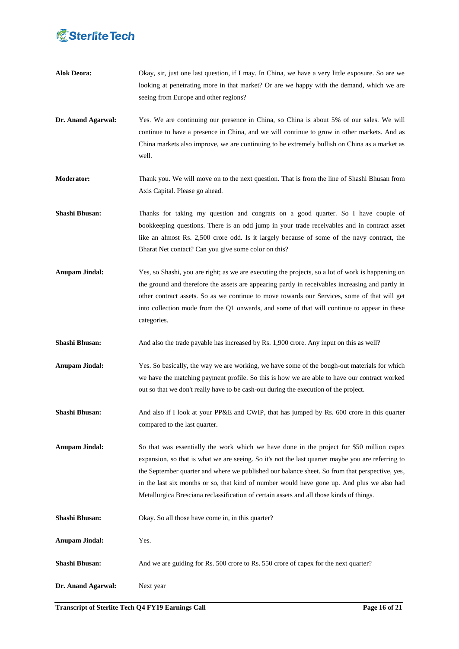# *<u>C</u>* Sterlite Tech

| <b>Alok Deora:</b>    | Okay, sir, just one last question, if I may. In China, we have a very little exposure. So are we<br>looking at penetrating more in that market? Or are we happy with the demand, which we are<br>seeing from Europe and other regions?                                                                                                                                                                                                                                                     |
|-----------------------|--------------------------------------------------------------------------------------------------------------------------------------------------------------------------------------------------------------------------------------------------------------------------------------------------------------------------------------------------------------------------------------------------------------------------------------------------------------------------------------------|
| Dr. Anand Agarwal:    | Yes. We are continuing our presence in China, so China is about 5% of our sales. We will<br>continue to have a presence in China, and we will continue to grow in other markets. And as<br>China markets also improve, we are continuing to be extremely bullish on China as a market as<br>well.                                                                                                                                                                                          |
| <b>Moderator:</b>     | Thank you. We will move on to the next question. That is from the line of Shashi Bhusan from<br>Axis Capital. Please go ahead.                                                                                                                                                                                                                                                                                                                                                             |
| Shashi Bhusan:        | Thanks for taking my question and congrats on a good quarter. So I have couple of<br>bookkeeping questions. There is an odd jump in your trade receivables and in contract asset<br>like an almost Rs. 2,500 crore odd. Is it largely because of some of the navy contract, the<br>Bharat Net contact? Can you give some color on this?                                                                                                                                                    |
| <b>Anupam Jindal:</b> | Yes, so Shashi, you are right; as we are executing the projects, so a lot of work is happening on<br>the ground and therefore the assets are appearing partly in receivables increasing and partly in<br>other contract assets. So as we continue to move towards our Services, some of that will get<br>into collection mode from the Q1 onwards, and some of that will continue to appear in these<br>categories.                                                                        |
| Shashi Bhusan:        | And also the trade payable has increased by Rs. 1,900 crore. Any input on this as well?                                                                                                                                                                                                                                                                                                                                                                                                    |
| <b>Anupam Jindal:</b> | Yes. So basically, the way we are working, we have some of the bough-out materials for which<br>we have the matching payment profile. So this is how we are able to have our contract worked<br>out so that we don't really have to be cash-out during the execution of the project.                                                                                                                                                                                                       |
| Shashi Bhusan:        | And also if I look at your PP&E and CWIP, that has jumped by Rs. 600 crore in this quarter<br>compared to the last quarter.                                                                                                                                                                                                                                                                                                                                                                |
| <b>Anupam Jindal:</b> | So that was essentially the work which we have done in the project for \$50 million capex<br>expansion, so that is what we are seeing. So it's not the last quarter maybe you are referring to<br>the September quarter and where we published our balance sheet. So from that perspective, yes,<br>in the last six months or so, that kind of number would have gone up. And plus we also had<br>Metallurgica Bresciana reclassification of certain assets and all those kinds of things. |
| Shashi Bhusan:        | Okay. So all those have come in, in this quarter?                                                                                                                                                                                                                                                                                                                                                                                                                                          |
| <b>Anupam Jindal:</b> | Yes.                                                                                                                                                                                                                                                                                                                                                                                                                                                                                       |
| Shashi Bhusan:        | And we are guiding for Rs. 500 crore to Rs. 550 crore of capex for the next quarter?                                                                                                                                                                                                                                                                                                                                                                                                       |
| Dr. Anand Agarwal:    | Next year                                                                                                                                                                                                                                                                                                                                                                                                                                                                                  |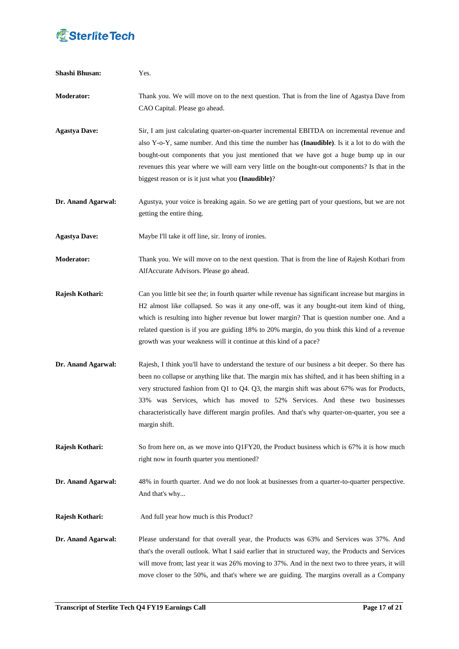

| <b>Shashi Bhusan:</b> | Yes.                                                                                                                                                                                                                                                                                                                                                                                                                                                                                                    |
|-----------------------|---------------------------------------------------------------------------------------------------------------------------------------------------------------------------------------------------------------------------------------------------------------------------------------------------------------------------------------------------------------------------------------------------------------------------------------------------------------------------------------------------------|
| <b>Moderator:</b>     | Thank you. We will move on to the next question. That is from the line of Agastya Dave from<br>CAO Capital. Please go ahead.                                                                                                                                                                                                                                                                                                                                                                            |
| <b>Agastya Dave:</b>  | Sir, I am just calculating quarter-on-quarter incremental EBITDA on incremental revenue and<br>also Y-o-Y, same number. And this time the number has (Inaudible). Is it a lot to do with the<br>bought-out components that you just mentioned that we have got a huge bump up in our<br>revenues this year where we will earn very little on the bought-out components? Is that in the<br>biggest reason or is it just what you (Inaudible)?                                                            |
| Dr. Anand Agarwal:    | Agustya, your voice is breaking again. So we are getting part of your questions, but we are not<br>getting the entire thing.                                                                                                                                                                                                                                                                                                                                                                            |
| <b>Agastya Dave:</b>  | Maybe I'll take it off line, sir. Irony of ironies.                                                                                                                                                                                                                                                                                                                                                                                                                                                     |
| <b>Moderator:</b>     | Thank you. We will move on to the next question. That is from the line of Rajesh Kothari from<br>AlfAccurate Advisors. Please go ahead.                                                                                                                                                                                                                                                                                                                                                                 |
| Rajesh Kothari:       | Can you little bit see the; in fourth quarter while revenue has significant increase but margins in<br>H2 almost like collapsed. So was it any one-off, was it any bought-out item kind of thing,<br>which is resulting into higher revenue but lower margin? That is question number one. And a<br>related question is if you are guiding 18% to 20% margin, do you think this kind of a revenue<br>growth was your weakness will it continue at this kind of a pace?                                  |
| Dr. Anand Agarwal:    | Rajesh, I think you'll have to understand the texture of our business a bit deeper. So there has<br>been no collapse or anything like that. The margin mix has shifted, and it has been shifting in a<br>very structured fashion from Q1 to Q4. Q3, the margin shift was about 67% was for Products,<br>33% was Services, which has moved to 52% Services. And these two businesses<br>characteristically have different margin profiles. And that's why quarter-on-quarter, you see a<br>margin shift. |
| Rajesh Kothari:       | So from here on, as we move into Q1FY20, the Product business which is 67% it is how much<br>right now in fourth quarter you mentioned?                                                                                                                                                                                                                                                                                                                                                                 |
| Dr. Anand Agarwal:    | 48% in fourth quarter. And we do not look at businesses from a quarter-to-quarter perspective.<br>And that's why                                                                                                                                                                                                                                                                                                                                                                                        |
| Rajesh Kothari:       | And full year how much is this Product?                                                                                                                                                                                                                                                                                                                                                                                                                                                                 |
| Dr. Anand Agarwal:    | Please understand for that overall year, the Products was 63% and Services was 37%. And<br>that's the overall outlook. What I said earlier that in structured way, the Products and Services<br>will move from; last year it was 26% moving to 37%. And in the next two to three years, it will<br>move closer to the 50%, and that's where we are guiding. The margins overall as a Company                                                                                                            |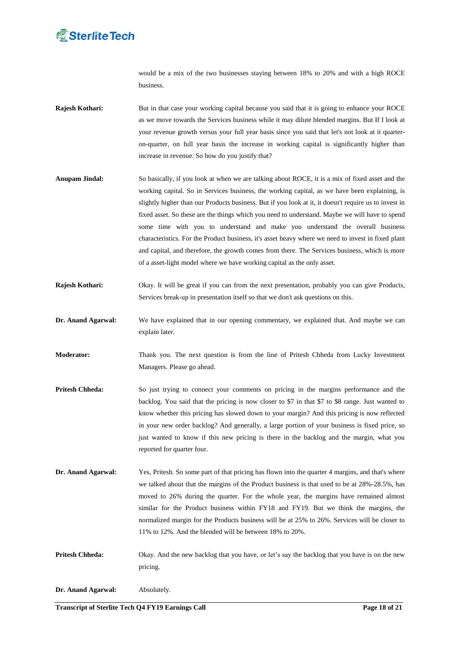

would be a mix of the two businesses staying between 18% to 20% and with a high ROCE business.

- **Rajesh Kothari:** But in that case your working capital because you said that it is going to enhance your ROCE as we move towards the Services business while it may dilute blended margins. But If I look at your revenue growth versus your full year basis since you said that let's not look at it quarteron-quarter, on full year basis the increase in working capital is significantly higher than increase in revenue. So how do you justify that?
- **Anupam Jindal:** So basically, if you look at when we are talking about ROCE, it is a mix of fixed asset and the working capital. So in Services business, the working capital, as we have been explaining, is slightly higher than our Products business. But if you look at it, it doesn't require us to invest in fixed asset. So these are the things which you need to understand. Maybe we will have to spend some time with you to understand and make you understand the overall business characteristics. For the Product business, it's asset heavy where we need to invest in fixed plant and capital, and therefore, the growth comes from there. The Services business, which is more of a asset-light model where we have working capital as the only asset.
- **Rajesh Kothari:** Okay. It will be great if you can from the next presentation, probably you can give Products, Services break-up in presentation itself so that we don't ask questions on this.
- **Dr. Anand Agarwal:** We have explained that in our opening commentary, we explained that. And maybe we can explain later.
- **Moderator:** Thank you. The next question is from the line of Pritesh Chheda from Lucky Investment Managers. Please go ahead.
- **Pritesh Chheda:** So just trying to connect your comments on pricing in the margins performance and the backlog. You said that the pricing is now closer to \$7 in that \$7 to \$8 range. Just wanted to know whether this pricing has slowed down to your margin? And this pricing is now reflected in your new order backlog? And generally, a large portion of your business is fixed price, so just wanted to know if this new pricing is there in the backlog and the margin, what you reported for quarter four.
- **Dr. Anand Agarwal:** Yes, Pritesh. So some part of that pricing has flown into the quarter 4 margins, and that's where we talked about that the margins of the Product business is that used to be at 28%-28.5%, has moved to 26% during the quarter. For the whole year, the margins have remained almost similar for the Product business within FY18 and FY19. But we think the margins, the normalized margin for the Products business will be at 25% to 26%. Services will be closer to 11% to 12%. And the blended will be between 18% to 20%.
- **Pritesh Chheda:** Okay. And the new backlog that you have, or let"s say the backlog that you have is on the new pricing.
- **Dr. Anand Agarwal:** Absolutely.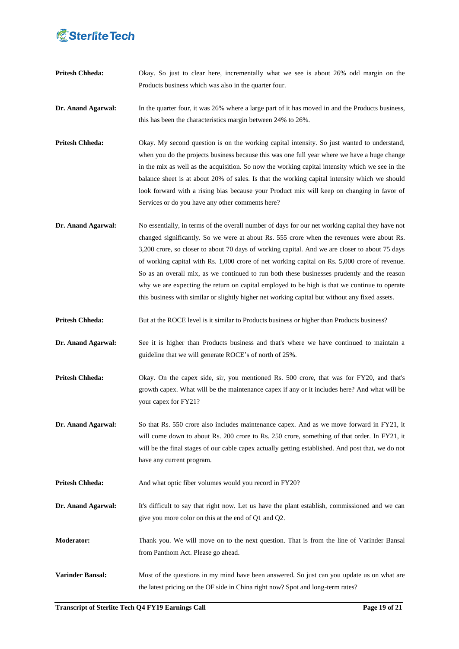**Pritesh Chheda:** Okay. So just to clear here, incrementally what we see is about 26% odd margin on the Products business which was also in the quarter four.

**Dr. Anand Agarwal:** In the quarter four, it was 26% where a large part of it has moved in and the Products business, this has been the characteristics margin between 24% to 26%.

**Pritesh Chheda:** Okay. My second question is on the working capital intensity. So just wanted to understand, when you do the projects business because this was one full year where we have a huge change in the mix as well as the acquisition. So now the working capital intensity which we see in the balance sheet is at about 20% of sales. Is that the working capital intensity which we should look forward with a rising bias because your Product mix will keep on changing in favor of Services or do you have any other comments here?

**Dr. Anand Agarwal:** No essentially, in terms of the overall number of days for our net working capital they have not changed significantly. So we were at about Rs. 555 crore when the revenues were about Rs. 3,200 crore, so closer to about 70 days of working capital. And we are closer to about 75 days of working capital with Rs. 1,000 crore of net working capital on Rs. 5,000 crore of revenue. So as an overall mix, as we continued to run both these businesses prudently and the reason why we are expecting the return on capital employed to be high is that we continue to operate this business with similar or slightly higher net working capital but without any fixed assets.

**Pritesh Chheda:** But at the ROCE level is it similar to Products business or higher than Products business?

**Dr. Anand Agarwal:** See it is higher than Products business and that's where we have continued to maintain a guideline that we will generate ROCE"s of north of 25%.

**Pritesh Chheda:** Okay. On the capex side, sir, you mentioned Rs. 500 crore, that was for FY20, and that's growth capex. What will be the maintenance capex if any or it includes here? And what will be your capex for FY21?

**Dr. Anand Agarwal:** So that Rs. 550 crore also includes maintenance capex. And as we move forward in FY21, it will come down to about Rs. 200 crore to Rs. 250 crore, something of that order. In FY21, it will be the final stages of our cable capex actually getting established. And post that, we do not have any current program.

**Pritesh Chheda:** And what optic fiber volumes would you record in FY20?

**Dr. Anand Agarwal:** It's difficult to say that right now. Let us have the plant establish, commissioned and we can give you more color on this at the end of Q1 and Q2.

**Moderator:** Thank you. We will move on to the next question. That is from the line of Varinder Bansal from Panthom Act. Please go ahead.

**Varinder Bansal:** Most of the questions in my mind have been answered. So just can you update us on what are the latest pricing on the OF side in China right now? Spot and long-term rates?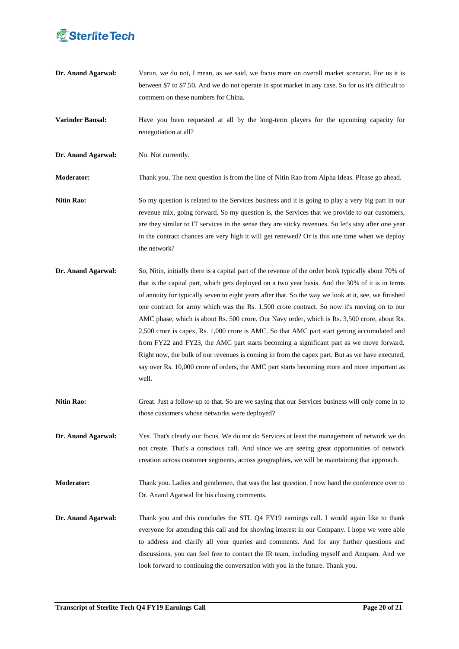

**Dr. Anand Agarwal:** Varun, we do not, I mean, as we said, we focus more on overall market scenario. For us it is between \$7 to \$7.50. And we do not operate in spot market in any case. So for us it's difficult to comment on these numbers for China.

**Varinder Bansal:** Have you been requested at all by the long-term players for the upcoming capacity for renegotiation at all?

**Dr. Anand Agarwal:** No. Not currently.

**Moderator:** Thank you. The next question is from the line of Nitin Rao from Alpha Ideas. Please go ahead.

- **Nitin Rao:** So my question is related to the Services business and it is going to play a very big part in our revenue mix, going forward. So my question is, the Services that we provide to our customers, are they similar to IT services in the sense they are sticky revenues. So let's stay after one year in the contract chances are very high it will get renewed? Or is this one time when we deploy the network?
- **Dr. Anand Agarwal:** So, Nitin, initially there is a capital part of the revenue of the order book typically about 70% of that is the capital part, which gets deployed on a two year basis. And the 30% of it is in terms of annuity for typically seven to eight years after that. So the way we look at it, see, we finished one contract for army which was the Rs. 1,500 crore contract. So now it's moving on to our AMC phase, which is about Rs. 500 crore. Our Navy order, which is Rs. 3,500 crore, about Rs. 2,500 crore is capex, Rs. 1,000 crore is AMC. So that AMC part start getting accumulated and from FY22 and FY23, the AMC part starts becoming a significant part as we move forward. Right now, the bulk of our revenues is coming in from the capex part. But as we have executed, say over Rs. 10,000 crore of orders, the AMC part starts becoming more and more important as well.
- **Nitin Rao:** Great. Just a follow-up to that. So are we saying that our Services business will only come in to those customers whose networks were deployed?
- **Dr. Anand Agarwal:** Yes. That's clearly our focus. We do not do Services at least the management of network we do not create. That's a conscious call. And since we are seeing great opportunities of network creation across customer segments, across geographies, we will be maintaining that approach.

**Moderator:** Thank you. Ladies and gentlemen, that was the last question. I now hand the conference over to Dr. Anand Agarwal for his closing comments.

**Dr. Anand Agarwal:** Thank you and this concludes the STL Q4 FY19 earnings call. I would again like to thank everyone for attending this call and for showing interest in our Company. I hope we were able to address and clarify all your queries and comments. And for any further questions and discussions, you can feel free to contact the IR team, including myself and Anupam. And we look forward to continuing the conversation with you in the future. Thank you.